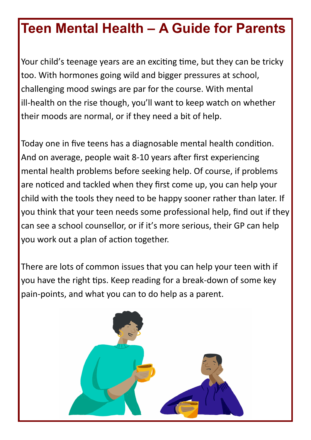Your child's teenage years are an exciting time, but they can be tricky too. With hormones going wild and bigger pressures at school, challenging mood swings are par for the course. With mental ill-health on the rise though, you'll want to keep watch on whether their moods are normal, or if they need a bit of help.

Today one in five teens has a diagnosable mental health condition. And on average, people wait 8-10 years after first experiencing mental health problems before seeking help. Of course, if problems are noticed and tackled when they first come up, you can help your child with the tools they need to be happy sooner rather than later. If you think that your teen needs some professional help, find out if they can see a school counsellor, or if it's more serious, their GP can help you work out a plan of action together.

There are lots of common issues that you can help your teen with if you have the right tips. Keep reading for a break-down of some key pain-points, and what you can to do help as a parent.

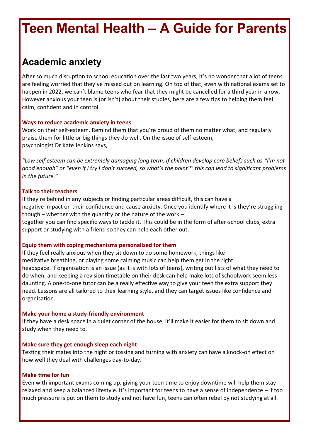## **Academic anxiety**

After so much disruption to school education over the last two years, it's no wonder that a lot of teens are feeling worried that they've missed out on learning. On top of that, even with national exams set to happen in 2022, we can't blame teens who fear that they might be cancelled for a third year in a row. However anxious your teen is (or isn't) about their studies, here are a few tips to helping them feel calm, confident and in control.

### **Ways to reduce academic anxiety in teens**

Work on their self-esteem. Remind them that you're proud of them no matter what, and regularly praise them for little or big things they do well. On the issue of self-esteem, psychologist Dr Kate Jenkins says,

*"Low self esteem can be extremely damaging long term. If children develop core beliefs such as "I'm not good enough" or "even if I try I don't succeed, so what's the point?" this can lead to significant problems in the future."*

### **Talk to their teachers**

If they're behind in any subjects or finding particular areas difficult, this can have a negative impact on their confidence and cause anxiety. Once you identify where it is they're struggling though – whether with the quantity or the nature of the work – together you can find specific ways to tackle it. This could be in the form of after-school clubs, extra support or studying with a friend so they can help each other out.

#### **Equip them with coping mechanisms personalised for them**

If they feel really anxious when they sit down to do some homework, things like meditative breathing, or playing some calming music can help them get in the right headspace. If organisation is an issue (as it is with lots of teens), writing out lists of what they need to do when, and keeping a revision timetable on their desk can help make lots of schoolwork seem less daunting. A one-to-one tutor can be a really effective way to give your teen the extra support they need. Lessons are all tailored to their learning style, and they can target issues like confidence and organisation.

#### **Make your home a study-friendly environment**

If they have a desk space in a quiet corner of the house, it'll make it easier for them to sit down and study when they need to.

#### **Make sure they get enough sleep each night**

Texting their mates into the night or tossing and turning with anxiety can have a knock-on effect on how well they deal with challenges day-to-day.

### **Make time for fun**

Even with important exams coming up, giving your teen time to enjoy downtime will help them stay relaxed and keep a balanced lifestyle. It's important for teens to have a sense of independence – if too much pressure is put on them to study and not have fun, teens can often rebel by not studying at all.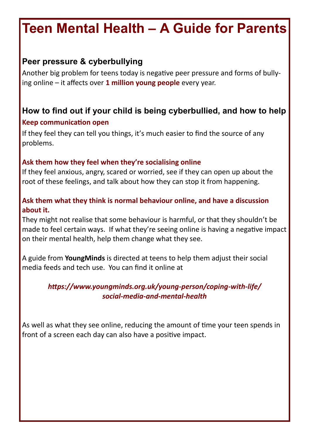## **Peer pressure & cyberbullying**

Another big problem for teens today is negative peer pressure and forms of bullying online – it affects over **[1 million young people](https://youngminds.org.uk/find-help/feelings-and-symptoms/)** every year.

## **How to find out if your child is being cyberbullied, and how to help Keep communication open**

If they feel they can tell you things, it's much easier to find the source of any problems.

### **Ask them how they feel when they're socialising online**

If they feel anxious, angry, scared or worried, see if they can open up about the root of these feelings, and talk about how they can stop it from happening.

### **Ask them what they think is normal behaviour online, and have a discussion about it.**

They might not realise that some behaviour is harmful, or that they shouldn't be made to feel certain ways. If what they're seeing online is having a negative impact on their mental health, help them change what they see.

A guide from **YoungMinds** is directed at teens to help them adjust their social media feeds and tech use. You can find it online at

### *https://www.youngminds.org.uk/young-person/coping-with-life/ social-media-and-mental-health*

As well as what they see online, reducing the amount of time your teen spends in front of a screen each day can also have a positive impact.